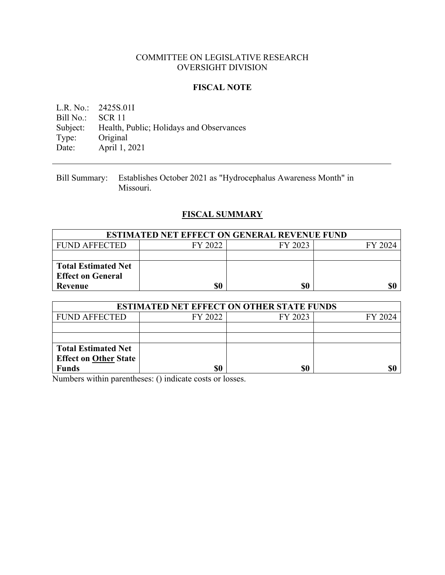### COMMITTEE ON LEGISLATIVE RESEARCH OVERSIGHT DIVISION

#### **FISCAL NOTE**

L.R. No.: 2425S.01I Bill No.: SCR 11 Subject: Health, Public; Holidays and Observances<br>Type: Original Type: Original<br>Date: April 1, 2 April 1, 2021

Bill Summary: Establishes October 2021 as "Hydrocephalus Awareness Month" in Missouri.

# **FISCAL SUMMARY**

| <b>ESTIMATED NET EFFECT ON GENERAL REVENUE FUND</b> |         |         |         |  |
|-----------------------------------------------------|---------|---------|---------|--|
| <b>FUND AFFECTED</b>                                | FY 2022 | FY 2023 | FY 2024 |  |
|                                                     |         |         |         |  |
| <b>Total Estimated Net</b>                          |         |         |         |  |
| <b>Effect on General</b>                            |         |         |         |  |
| Revenue                                             | \$0     | \$0     | \$0     |  |

| <b>ESTIMATED NET EFFECT ON OTHER STATE FUNDS</b> |         |         |         |  |
|--------------------------------------------------|---------|---------|---------|--|
| <b>FUND AFFECTED</b>                             | FY 2022 | FY 2023 | FY 2024 |  |
|                                                  |         |         |         |  |
|                                                  |         |         |         |  |
| <b>Total Estimated Net</b>                       |         |         |         |  |
| <b>Effect on Other State</b>                     |         |         |         |  |
| <b>Funds</b>                                     | \$0     | \$0     |         |  |

Numbers within parentheses: () indicate costs or losses.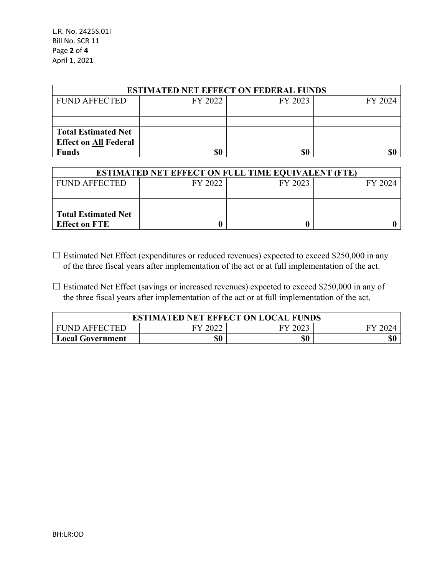| <b>ESTIMATED NET EFFECT ON FEDERAL FUNDS</b> |         |         |         |  |
|----------------------------------------------|---------|---------|---------|--|
| <b>FUND AFFECTED</b>                         | FY 2022 | FY 2023 | FY 2024 |  |
|                                              |         |         |         |  |
|                                              |         |         |         |  |
| <b>Total Estimated Net</b>                   |         |         |         |  |
| <b>Effect on All Federal</b>                 |         |         |         |  |
| <b>Funds</b>                                 | \$0     | \$0     | \$0     |  |

| <b>ESTIMATED NET EFFECT ON FULL TIME EQUIVALENT (FTE)</b> |         |         |         |
|-----------------------------------------------------------|---------|---------|---------|
| <b>FUND AFFECTED</b>                                      | FY 2022 | FY 2023 | FY 2024 |
|                                                           |         |         |         |
|                                                           |         |         |         |
| <b>Total Estimated Net</b>                                |         |         |         |
| <b>Effect on FTE</b>                                      |         |         |         |

 $\Box$  Estimated Net Effect (expenditures or reduced revenues) expected to exceed \$250,000 in any of the three fiscal years after implementation of the act or at full implementation of the act.

□ Estimated Net Effect (savings or increased revenues) expected to exceed \$250,000 in any of the three fiscal years after implementation of the act or at full implementation of the act.

| <b>ESTIMATED NET EFFECT ON LOCAL FUNDS</b> |      |         |     |
|--------------------------------------------|------|---------|-----|
| <b>FUND AFFECTED</b>                       | 2022 | FY 2023 |     |
| <b>Local Government</b>                    | \$0  | \$0     | \$0 |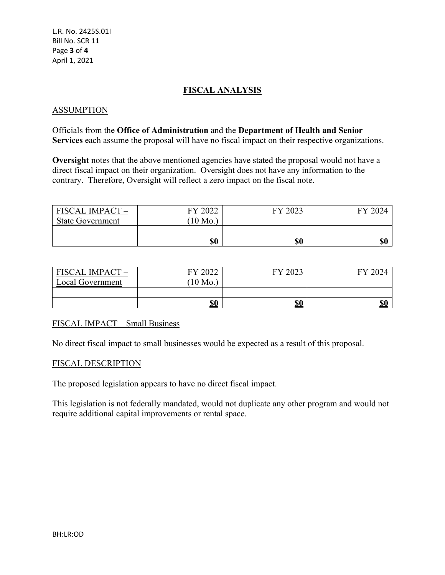## **FISCAL ANALYSIS**

#### ASSUMPTION

Officials from the **Office of Administration** and the **Department of Health and Senior Services** each assume the proposal will have no fiscal impact on their respective organizations.

**Oversight** notes that the above mentioned agencies have stated the proposal would not have a direct fiscal impact on their organization. Oversight does not have any information to the contrary. Therefore, Oversight will reflect a zero impact on the fiscal note.

| FISCAL IMPACT-<br><b>State Government</b> | FY 2022<br>$10$ Mo. | 2023 | FV 2024 |
|-------------------------------------------|---------------------|------|---------|
|                                           |                     |      |         |
|                                           | \$0                 | \$0  | \$0     |

| <b>FISCAL IMPACT-</b>   | FY 2022  | FY 2023   | FY 2024                       |
|-------------------------|----------|-----------|-------------------------------|
| <b>Local Government</b> | [10 Mo.] |           |                               |
|                         |          |           |                               |
|                         | \$0      | <u>so</u> | $\underline{\underline{\$0}}$ |

### FISCAL IMPACT – Small Business

No direct fiscal impact to small businesses would be expected as a result of this proposal.

#### FISCAL DESCRIPTION

The proposed legislation appears to have no direct fiscal impact.

This legislation is not federally mandated, would not duplicate any other program and would not require additional capital improvements or rental space.